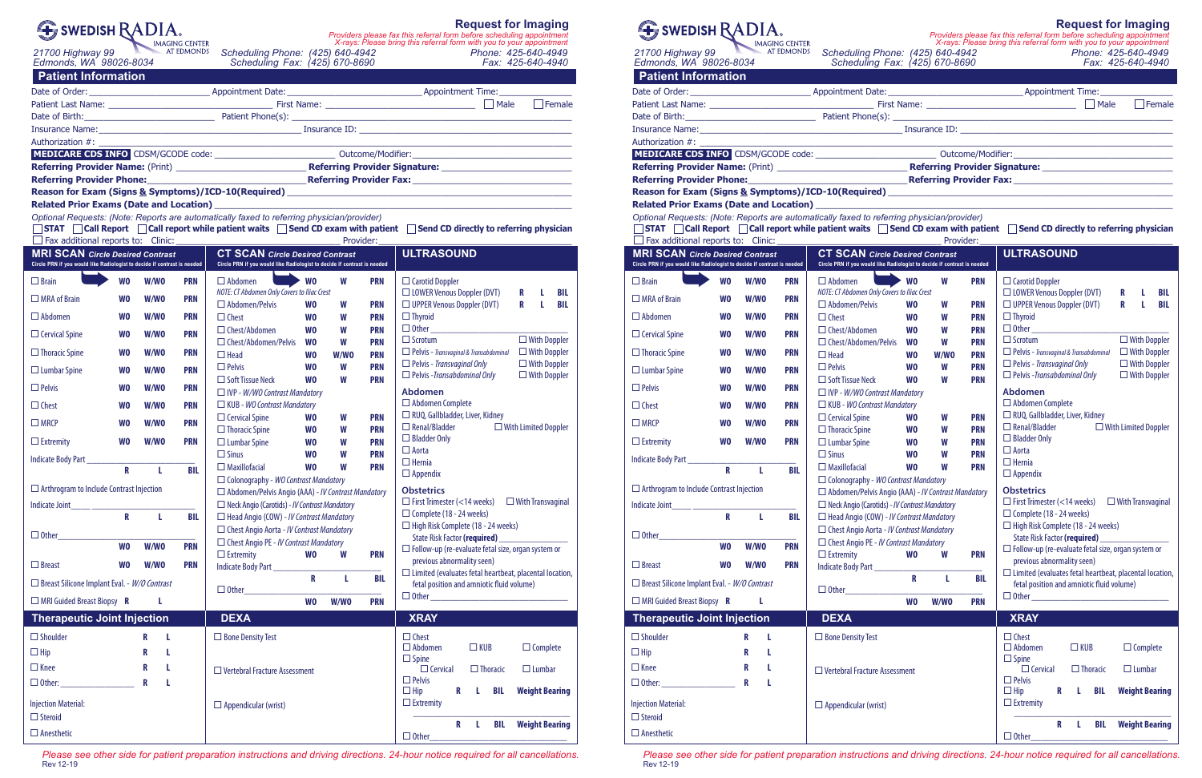| SWEDISH RADIA. |           |
|----------------|-----------|
|                | IMACING C |

<sup>IMAGING CENTER</sup><br>21700 Highway 99 AT EDMONDS **Scheduling Phone: (425) 640-4942** *ATHOO Highway 99* ATEDMONDS **Scheduling Phone: (425) 640-4942** 

**Request for Imaging**  *X-rays: Please bring this referral form with you to your appointment Providers please fax this referral form before scheduling appointment*

*Edmonds, WA 98026-8034 Scheduling Fax: (425) 670-8690 Fax: 425-640-4940*

**Patient Information**

|                                                                                                                                                                                                                           |                         |                                                                                         |                                                                                                                    |                                                           |                        |                   | $\Box$ Female                             |                                                                                                  |  |  |  |
|---------------------------------------------------------------------------------------------------------------------------------------------------------------------------------------------------------------------------|-------------------------|-----------------------------------------------------------------------------------------|--------------------------------------------------------------------------------------------------------------------|-----------------------------------------------------------|------------------------|-------------------|-------------------------------------------|--------------------------------------------------------------------------------------------------|--|--|--|
|                                                                                                                                                                                                                           |                         | Date of Birth: <u>Communication of Birth:</u> Patient Phone(s): Communication of Birth: |                                                                                                                    |                                                           |                        |                   |                                           |                                                                                                  |  |  |  |
|                                                                                                                                                                                                                           |                         |                                                                                         |                                                                                                                    |                                                           |                        |                   |                                           |                                                                                                  |  |  |  |
|                                                                                                                                                                                                                           |                         |                                                                                         |                                                                                                                    |                                                           |                        |                   |                                           |                                                                                                  |  |  |  |
|                                                                                                                                                                                                                           |                         |                                                                                         |                                                                                                                    |                                                           |                        |                   |                                           |                                                                                                  |  |  |  |
|                                                                                                                                                                                                                           |                         |                                                                                         |                                                                                                                    |                                                           |                        |                   |                                           |                                                                                                  |  |  |  |
|                                                                                                                                                                                                                           |                         |                                                                                         |                                                                                                                    |                                                           |                        |                   |                                           |                                                                                                  |  |  |  |
|                                                                                                                                                                                                                           |                         |                                                                                         |                                                                                                                    |                                                           |                        |                   |                                           |                                                                                                  |  |  |  |
|                                                                                                                                                                                                                           |                         |                                                                                         |                                                                                                                    |                                                           |                        |                   |                                           | the control of the control of the control of the control of the control of                       |  |  |  |
| Optional Requests: (Note: Reports are automatically faxed to referring physician/provider)<br>■STAT   Call Report   Call report while patient waits   Send CD exam with patient   Send CD directly to referring physician |                         |                                                                                         |                                                                                                                    |                                                           |                        |                   |                                           |                                                                                                  |  |  |  |
|                                                                                                                                                                                                                           |                         |                                                                                         |                                                                                                                    |                                                           |                        | Provider:         |                                           |                                                                                                  |  |  |  |
| <b>MRI SCAN Circle Desired Contrast</b><br>Circle PRN if you would like Radiologist to decide if contrast is needed                                                                                                       |                         |                                                                                         | <b>CT SCAN Circle Desired Contrast</b><br>Circle PRN if you would like Radiologist to decide if contrast is needed |                                                           |                        | <b>ULTRASOUND</b> |                                           |                                                                                                  |  |  |  |
| $\Box$ Brain                                                                                                                                                                                                              | <b>WO</b>               | W/WO                                                                                    | <b>PRN</b>                                                                                                         | $\Box$ Abdomen                                            | <b>WO</b>              | W                 | <b>PRN</b>                                | $\Box$ Carotid Doppler                                                                           |  |  |  |
| $\Box$ MRA of Brain                                                                                                                                                                                                       | <b>WO</b>               | W/WO                                                                                    | <b>PRN</b>                                                                                                         | NOTE: CT Abdomen Only Covers to Iliac Crest               |                        |                   |                                           | $\Box$ LOWER Venous Doppler (DVT)<br>R<br>L<br>BIL                                               |  |  |  |
|                                                                                                                                                                                                                           |                         |                                                                                         |                                                                                                                    | $\Box$ Abdomen/Pelvis                                     | <b>WO</b>              | W                 | <b>PRN</b>                                | $\Box$ UPPER Venous Doppler (DVT)<br>R<br>L.<br>BIL                                              |  |  |  |
| $\Box$ Abdomen                                                                                                                                                                                                            | <b>WO</b>               | W/WO                                                                                    | <b>PRN</b>                                                                                                         | $\Box$ Chest                                              | <b>WO</b>              | W                 | <b>PRN</b>                                | $\Box$ Thyroid<br>$\Box$ Other                                                                   |  |  |  |
| $\Box$ Cervical Spine                                                                                                                                                                                                     | <b>WO</b>               | W/WO                                                                                    | <b>PRN</b>                                                                                                         | $\Box$ Chest/Abdomen<br>$\Box$ Chest/Abdomen/Pelvis       | <b>WO</b>              | W                 | <b>PRN</b>                                | $\Box$ Scrotum<br>$\Box$ With Doppler                                                            |  |  |  |
| $\Box$ Thoracic Spine                                                                                                                                                                                                     | <b>WO</b>               | W/WO                                                                                    | <b>PRN</b>                                                                                                         | $\Box$ Head                                               | <b>WO</b><br><b>WO</b> | W<br>W/WO         | <b>PRN</b><br><b>PRN</b>                  | $\Box$ Pelvis - Transvaginal & Transabdominal<br>$\Box$ With Doppler                             |  |  |  |
| $\Box$ Lumbar Spine                                                                                                                                                                                                       | <b>WO</b>               | W/WO                                                                                    | <b>PRN</b>                                                                                                         | $\Box$ Pelvis                                             | <b>WO</b>              | W                 | <b>PRN</b>                                | $\Box$ With Doppler<br>$\Box$ Pelvis - Transvaginal Only                                         |  |  |  |
|                                                                                                                                                                                                                           |                         |                                                                                         |                                                                                                                    | $\Box$ Soft Tissue Neck                                   | W <sub>0</sub>         | W                 | <b>PRN</b>                                | $\Box$ Pelvis - Transabdominal Only<br>$\Box$ With Doppler                                       |  |  |  |
| $\Box$ Pelvis                                                                                                                                                                                                             | <b>WO</b>               | W/WO                                                                                    | <b>PRN</b>                                                                                                         | $\Box$ IVP - W/WO Contrast Mandatory                      |                        |                   |                                           | <b>Abdomen</b>                                                                                   |  |  |  |
| $\Box$ Chest                                                                                                                                                                                                              | <b>WO</b>               | W/WO                                                                                    | <b>PRN</b>                                                                                                         | $\Box$ KUB - WO Contrast Mandatory                        |                        |                   |                                           | $\Box$ Abdomen Complete                                                                          |  |  |  |
| $\Box$ MRCP                                                                                                                                                                                                               | <b>WO</b>               | W/WO                                                                                    | <b>PRN</b>                                                                                                         | $\Box$ Cervical Spine                                     | <b>WO</b>              | W                 | <b>PRN</b>                                | □ RUQ, Gallbladder, Liver, Kidney<br>$\Box$ Renal/Bladder<br>$\Box$ With Limited Doppler         |  |  |  |
| $\Box$ Extremity                                                                                                                                                                                                          | <b>WO</b>               | W/WO                                                                                    | <b>PRN</b>                                                                                                         | $\Box$ Thoracic Spine                                     | <b>WO</b><br><b>WO</b> | W<br>W            | <b>PRN</b><br><b>PRN</b>                  | $\Box$ Bladder Only                                                                              |  |  |  |
|                                                                                                                                                                                                                           |                         |                                                                                         |                                                                                                                    | $\Box$ Lumbar Spine<br>$\Box$ Sinus                       | <b>WO</b>              | W                 | <b>PRN</b>                                | $\Box$ Aorta                                                                                     |  |  |  |
| Indicate Body Part _______________                                                                                                                                                                                        |                         |                                                                                         |                                                                                                                    | $\Box$ Maxillofacial                                      | <b>WO</b>              | W                 | <b>PRN</b>                                | $\Box$ Hernia                                                                                    |  |  |  |
|                                                                                                                                                                                                                           | $\mathbf{R}$            | $\mathbf{L}$                                                                            | <b>BIL</b>                                                                                                         | $\Box$ Colonography - WO Contrast Mandatory               |                        |                   |                                           | $\Box$ Appendix                                                                                  |  |  |  |
| $\Box$ Arthrogram to Include Contrast Injection                                                                                                                                                                           |                         |                                                                                         |                                                                                                                    | $\Box$ Abdomen/Pelvis Angio (AAA) - IV Contrast Mandatory |                        |                   |                                           | <b>Obstetrics</b>                                                                                |  |  |  |
| Indicate Joint                                                                                                                                                                                                            |                         |                                                                                         |                                                                                                                    | $\Box$ Neck Angio (Carotids) - IV Contrast Mandatory      |                        |                   |                                           | $\Box$ First Trimester (<14 weeks) $\Box$ With Transvaginal                                      |  |  |  |
|                                                                                                                                                                                                                           | $\overline{\mathsf{R}}$ | L.                                                                                      | BIL                                                                                                                | $\Box$ Head Angio (COW) - IV Contrast Mandatory           |                        |                   |                                           | $\Box$ Complete (18 - 24 weeks)                                                                  |  |  |  |
| $\Box$ Other_                                                                                                                                                                                                             |                         |                                                                                         |                                                                                                                    | $\Box$ Chest Angio Aorta - IV Contrast Mandatory          |                        |                   |                                           | $\Box$ High Risk Complete (18 - 24 weeks)                                                        |  |  |  |
| <b>WO</b>                                                                                                                                                                                                                 |                         | W/WO                                                                                    | <b>PRN</b>                                                                                                         | $\Box$ Chest Angio PE - IV Contrast Mandatory             |                        |                   |                                           | <b>State Risk Factor (required)</b><br>$\Box$ Follow-up (re-evaluate fetal size, organ system or |  |  |  |
| $\Box$ Breast                                                                                                                                                                                                             | <b>WO</b>               | W/WO                                                                                    | <b>PRN</b>                                                                                                         | $\Box$ Extremity<br>Indicate Body Part                    | W <sub>0</sub>         | W                 | <b>PRN</b>                                | previous abnormality seen)<br>$\Box$ Limited (evaluates fetal heartbeat, placental location,     |  |  |  |
| $\Box$ Breast Silicone Implant Eval. - <i>W/O Contrast</i>                                                                                                                                                                |                         |                                                                                         | $\Box$ Other                                                                                                       | R                                                         | L                      | <b>BIL</b>        | fetal position and amniotic fluid volume) |                                                                                                  |  |  |  |
| $\Box$ MRI Guided Breast Biopsy R                                                                                                                                                                                         |                         | L                                                                                       |                                                                                                                    |                                                           | W <sub>0</sub>         | W/WO              | <b>PRN</b>                                | $\hfill\hfill\Box\text{ Other}\hfill\hfill\Box$                                                  |  |  |  |
| <b>Therapeutic Joint Injection</b>                                                                                                                                                                                        |                         |                                                                                         | <b>DEXA</b>                                                                                                        |                                                           |                        |                   | <b>XRAY</b>                               |                                                                                                  |  |  |  |
| $\Box$ Shoulder                                                                                                                                                                                                           |                         | R<br>L                                                                                  |                                                                                                                    | $\Box$ Bone Density Test                                  |                        |                   |                                           | $\Box$ Chest                                                                                     |  |  |  |
| $\Box$ Hip                                                                                                                                                                                                                |                         | R<br>L                                                                                  |                                                                                                                    |                                                           |                        |                   |                                           | $\Box$ Complete<br>$\Box$ Abdomen<br>$\Box$ KUB<br>$\Box$ Spine                                  |  |  |  |
| $\Box$ Knee                                                                                                                                                                                                               |                         | R<br>L                                                                                  |                                                                                                                    | $\Box$ Vertebral Fracture Assessment                      |                        |                   |                                           | $\Box$ Cervical<br>$\Box$ Thoracic<br>$\Box$ Lumbar                                              |  |  |  |
|                                                                                                                                                                                                                           |                         | R<br>L                                                                                  |                                                                                                                    |                                                           |                        |                   |                                           | $\Box$ Pelvis<br>$\Box$ Hip<br>R<br><b>BIL</b><br><b>Weight Bearing</b><br>L.                    |  |  |  |
| <b>Injection Material:</b><br>$\Box$ Steroid                                                                                                                                                                              |                         |                                                                                         |                                                                                                                    | $\Box$ Appendicular (wrist)                               |                        |                   |                                           | $\Box$ Extremity                                                                                 |  |  |  |
| $\Box$ Anesthetic                                                                                                                                                                                                         |                         |                                                                                         |                                                                                                                    |                                                           |                        |                   |                                           | <b>Weight Bearing</b><br>$\mathbf R$<br>L<br><b>BIL</b>                                          |  |  |  |
|                                                                                                                                                                                                                           |                         |                                                                                         |                                                                                                                    |                                                           |                        |                   |                                           | $\Box$ Other                                                                                     |  |  |  |

*Please see other side for patient preparation instructions and driving directions. 24-hour notice required for all cancellations.* Rev 12-19